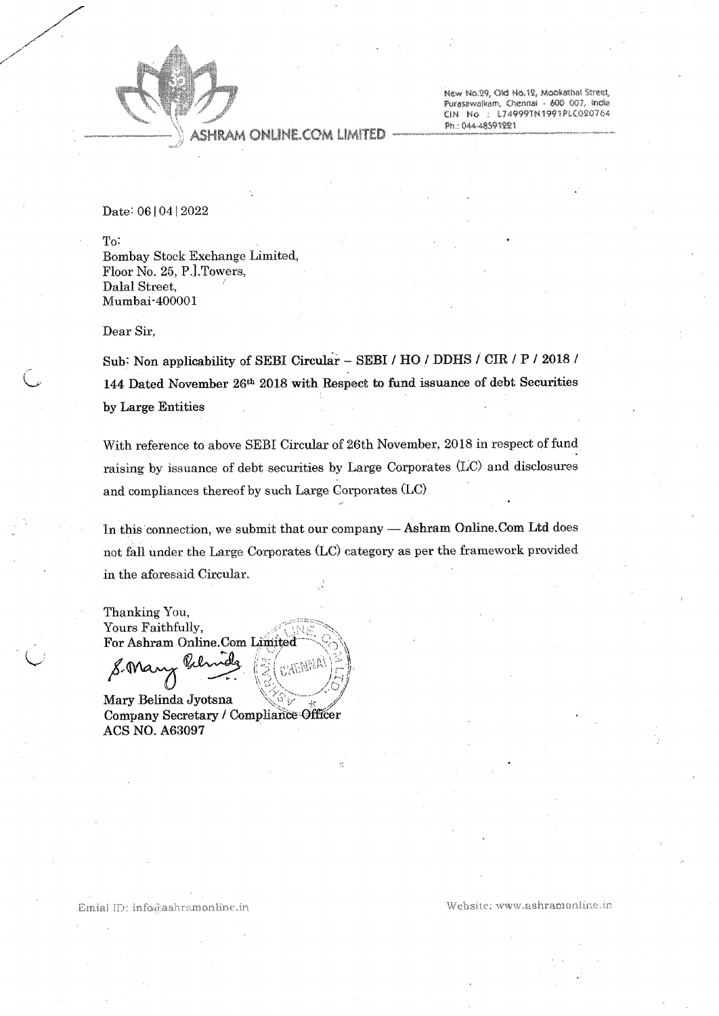

(SHRAM ONLINE.COM LIMITED

New No.29, Old No.12, Mookathal Street, Furasawalkam, Chennai - 600 007, India CIN No : L74999TN1991PLC020764 Ph.: 044-48591221

Date: 06 | 04 | 2022

To:

Bombay Stock Exchange Limited, Floor No. **25,** P.I.Tawers, Dalal Street, Mumbai-400001

Dear Sir,

Sub: Non applicability of SEBI Circular - SEBI / HO */ DDHS / CIR / P / 2018* / CY 144 Dated November **2Gth** 22,018 with Respect ta **fund** issuance **of** debt Securities by Large Entities

With reference to above SEBE Circular of 26th November, 2018 in respect of fund raising by issuance of debt securiths by Large Corporates (LC) and disclosures and compliances thereof by such Large Corporates  $(LC)$ 

In this connection, we submit that our company - Ashram Online.Com Ltd does not fall under the Large Corporates (LC) category as per the framework provided in the aforesaid Circular.

Thanking You, Yours Faithfully, For Ashram Online.Com Limited

S. Mar AEMAP

Mary Belinda Jyotsna Company Secretary / Compliance Officer **ACS NO. A63097** 

Emial ID: info@ashramonline.in

Website: www.ashramonline.in